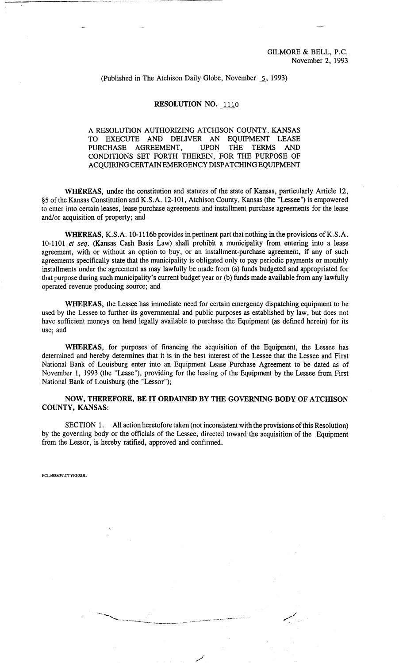## (Published in The Atchison Daily Globe, November 5 , 1993)

## RESOLUTION NO. 1110

## A RESOLUTION AUTHORIZING ATCHISON COUNTY, KANSAS TO EXECUTE AND DELIVER AN EQUIPMENT LEASE<br>PURCHASE AGREEMENT, UPON THE TERMS AND PURCHASE AGREEMENT, UPON THE TERMS CONDITIONS SET FORTH THEREIN, FOR THE PURPOSE OF ACQUIRING CERTAIN EMERGENCY DISPATCHING EQUIPMENT

WHEREAS, under the constitution and statutes of the state of Kansas, particularly Article 12, §5 of the Kansas Constitution and K.S.A. 12-101, Atchison County, Kansas (the "Lessee") is empowered to enter into certain leases, lease purchase agreements and installment purchase agreements for the lease and/or acquisition of property; and

WHEREAS, K.S.A. 10-1116b provides in pertinent part that nothing in the provisions of K.S.A. 10-1101 *et seq.* (Kansas Cash Basis Law) shall prohibit a municipality from entering into a lease agreement, with or without an option to buy, or an installment-purchase agreement, if any of such agreements specifically state that the municipality is obligated only to pay periodic payments or monthly installments under the agreement as may lawfully be made from (a) funds budgeted and appropriated for that purpose during such municipality's current budget year or (b) funds made available from any lawfully operated revenue producing source; and

WHEREAS, the Lessee has immediate need for certain emergency dispatching equipment to be used by the Lessee to further its governmental and public purposes as established by law, but does not have sufficient moneys on hand legally available to purchase the Equipment (as defined herein) for its use; and

WHEREAS, for purposes of financing the acquisition of the Equipment, the Lessee has determined and hereby determines that it is in the best interest of the Lessee that the Lessee and First National Bank of Louisburg enter into an Equipment Lease Purchase Agreement to be dated as of November 1, 1993 (the "Lease"), providing for the leasing of the Equipment by the Lessee from First National Bank of Louisburg (the "Lessor");

NOW, THEREFORE, BE IT ORDAINED BY THE GOVERNING BODY OF ATCHISON COUNTY, KANSAS:

SECTION 1. All action heretofore taken (not inconsistent with the provisions of this Resolution) by the governing body or the officials of the Lessee, directed toward the acquisition of the Equipment from the Lessor, is hereby ratified, approved and confirmed.

PCL\400639\CTYRESOL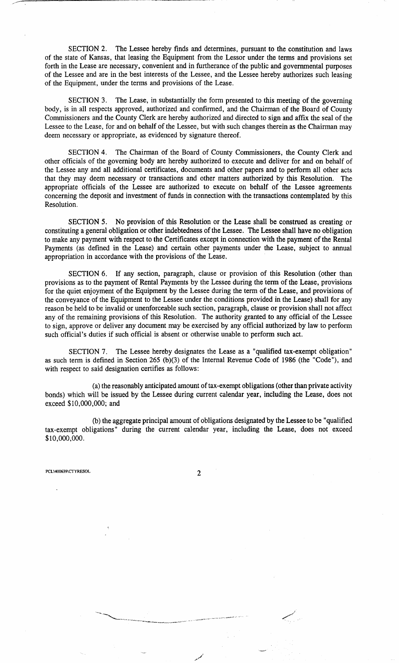SECTION 2. The Lessee hereby finds and determines, pursuant to the constitution and laws of the state of Kansas, that leasing the Equipment from the Lessor under the terms and provisions se forth in the Lease are necessary, convenient and in furtherance of the public and governmental purposes of the Lessee and are in the best interests of the Lessee, and the Lessee hereby authorizes such leasing of the Equipment, under the terms and provisions of the Lease.

SECTION 3. The Lease, in substantially the form presented to this meeting of the governing body, is in all respects approved, authorized and confirmed, and the Chairman of the Board of County Commissioners and the County Clerk are hereby authorized and directed to sign and affix the seal of the Lessee to the Lease, for and on behalf of the Lessee, but with such changes therein as the Chairman may deem necessary or appropriate, as evidenced by signature thereof.

SECTION 4. The Chairman of the Board of County Commissioners, the County Clerk and other officials of the governing body are hereby authorized to execute and deliver for and on behalf of the Lessee any and all additional certificates, documents and other papers and to perform all other acts that they may deem necessary or transactions and other matters authorized by this Resolution. The appropriate officials of the Lessee are authorized to execute on behalf of the Lessee agreements concerning the deposit and investment of funds in connection with the transactions contemplated by this Resolution.

SECTION 5. No provision of this Resolution or the Lease shall be construed as creating or constituting a general obligation or other indebtedness of the Lessee. The Lessee shall have no obligation to make any payment with respect to the Certificates except in connection with the payment of the Rental Payments (as defined in the Lease) and certain other payments under the Lease, subject to annual appropriation in accordance with the provisions of the Lease.

SECTION 6. If any section, paragraph, clause or provision of this Resolution (other than provisions as to the payment of Rental Payments by the Lessee during the term of the Lease, provisions for the quiet enjoyment of the Equipment by the Lessee during the term of the Lease, and provisions of the conveyance of the Equipment to the Lessee under the conditions provided in the Lease) shall for any reason be held to be invalid or unenforceable such section, paragraph, clause or provision shall not affect any of the remaining provisions of this Resolution. The authority granted to any official of the Lessee to sign, approve or deliver any document may be exercised by any official authorized by law to perform such official's duties if such official is absent or otherwise unable to perform such act.

SECTION 7. The Lessee hereby designates the Lease as a "qualified tax-exempt obligation" as such term is defined in Section 265 (b)(3) of the Internal Revenue Code of 1986 (the "Code"), and with respect to said designation certifies as follows:

(a) the reasonably anticipated amount of tax-exempt obligations (other than private activity bonds) which will be issued by the Lessee during current calendar year, including the Lease, does not exceed \$10,000,000; and

(b) the aggregate principal amount of obligations designated by the Lessee to be "qualified tax-exempt obligations" during the current calendar year, including the Lease, does not exceed \$10,000,000.

PCL\400639\CTYRESOL 2